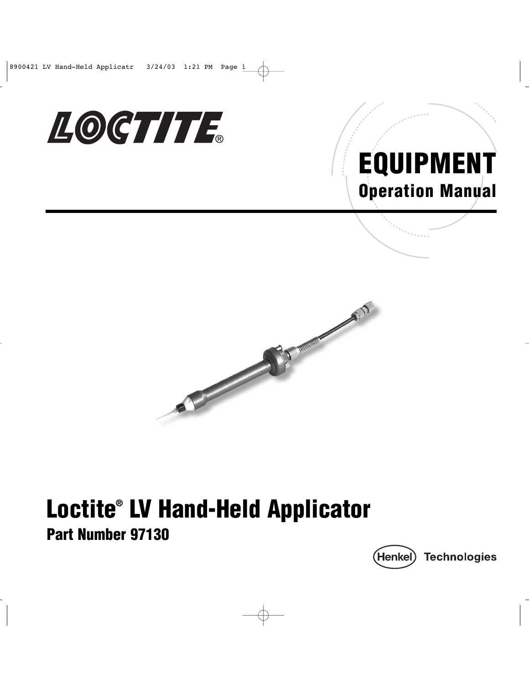

## EQUIPMENT Operation Manual



# Loctite® LV Hand-Held Applicator

Part Number 97130

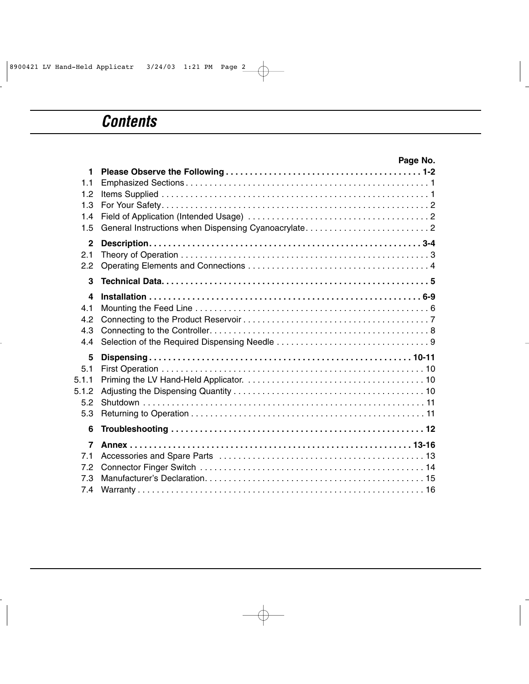### *Contents*

|                | Page No. |
|----------------|----------|
| 1              |          |
| 1.1            |          |
| 1.2            |          |
| 1.3            |          |
| 1.4            |          |
| 1.5            |          |
| $\mathbf{2}$   |          |
| 2.1            |          |
| 2.2            |          |
| 3              |          |
| 4              |          |
| 4.1            |          |
| 4.2            |          |
| 4.3            |          |
| 4.4            |          |
| 5              |          |
| 5.1            |          |
| 5.1.1          |          |
| 5.1.2          |          |
| 5.2            |          |
| 5.3            |          |
| 6              |          |
| $\overline{7}$ |          |
| 7.1            |          |
| 7.2            |          |
| 7.3            |          |
| 7.4            |          |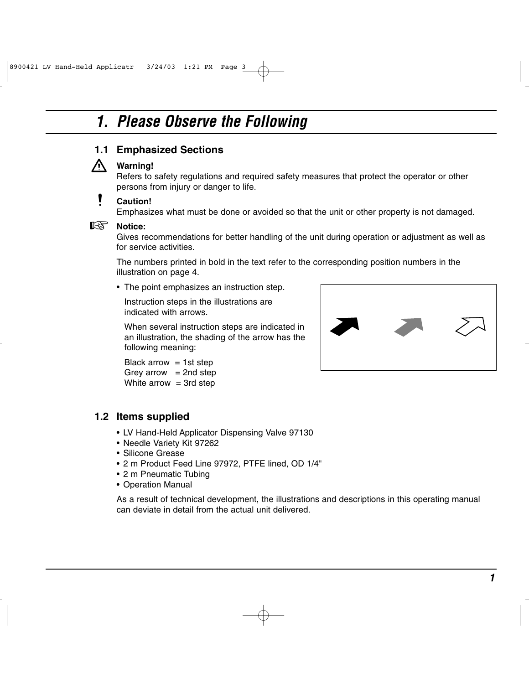### *1. Please Observe the Following*



#### **Warning!**

Refers to safety regulations and required safety measures that protect the operator or other persons from injury or danger to life.

#### **Caution!**

Emphasizes what must be done or avoided so that the unit or other property is not damaged.

## **।**<br>‼<sup>্</sup>ষ্টি Notice:

Gives recommendations for better handling of the unit during operation or adjustment as well as for service activities.

The numbers printed in bold in the text refer to the corresponding position numbers in the illustration on page 4.

• The point emphasizes an instruction step.

Instruction steps in the illustrations are indicated with arrows.

When several instruction steps are indicated in an illustration, the shading of the arrow has the following meaning:

```
Black arrow = 1 st step
Grey arrow = 2nd step
White arrow = 3rd step
```
#### **1.2 Items supplied**

- LV Hand-Held Applicator Dispensing Valve 97130
- Needle Variety Kit 97262
- Silicone Grease
- 2 m Product Feed Line 97972, PTFE lined, OD 1/4"
- 2 m Pneumatic Tubing
- Operation Manual

As a result of technical development, the illustrations and descriptions in this operating manual can deviate in detail from the actual unit delivered.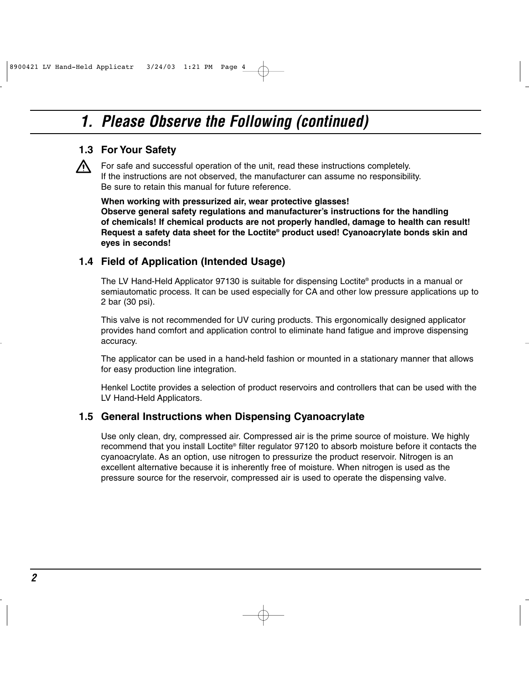### *1. Please Observe the Following (continued)*

#### **1.3 For Your Safety**

For safe and successful operation of the unit, read these instructions completely. If the instructions are not observed, the manufacturer can assume no responsibility. Be sure to retain this manual for future reference.

**When working with pressurized air, wear protective glasses!**

**Observe general safety regulations and manufacturer's instructions for the handling of chemicals! If chemical products are not properly handled, damage to health can result! Request a safety data sheet for the Loctite® product used! Cyanoacrylate bonds skin and eyes in seconds!**

#### **1.4 Field of Application (Intended Usage)**

The LV Hand-Held Applicator 97130 is suitable for dispensing Loctite® products in a manual or semiautomatic process. It can be used especially for CA and other low pressure applications up to 2 bar (30 psi).

This valve is not recommended for UV curing products. This ergonomically designed applicator provides hand comfort and application control to eliminate hand fatigue and improve dispensing accuracy.

The applicator can be used in a hand-held fashion or mounted in a stationary manner that allows for easy production line integration.

Henkel Loctite provides a selection of product reservoirs and controllers that can be used with the LV Hand-Held Applicators.

#### **1.5 General Instructions when Dispensing Cyanoacrylate**

Use only clean, dry, compressed air. Compressed air is the prime source of moisture. We highly recommend that you install Loctite® filter regulator 97120 to absorb moisture before it contacts the cyanoacrylate. As an option, use nitrogen to pressurize the product reservoir. Nitrogen is an excellent alternative because it is inherently free of moisture. When nitrogen is used as the pressure source for the reservoir, compressed air is used to operate the dispensing valve.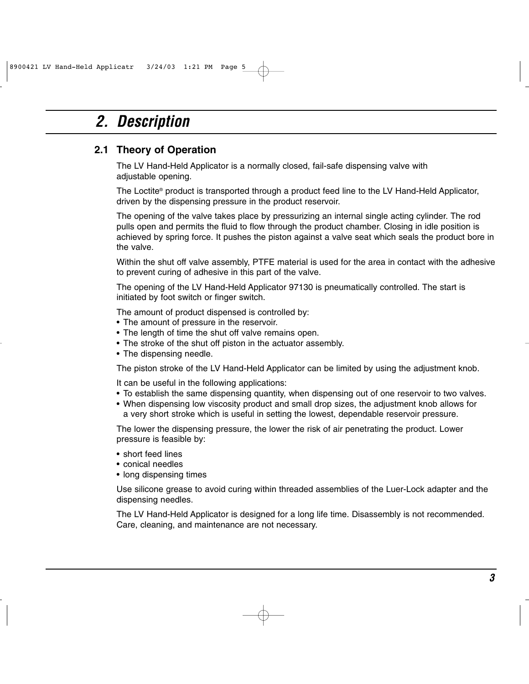### *2. Description*

#### **2.1 Theory of Operation**

The LV Hand-Held Applicator is a normally closed, fail-safe dispensing valve with adjustable opening.

The Loctite® product is transported through a product feed line to the LV Hand-Held Applicator, driven by the dispensing pressure in the product reservoir.

The opening of the valve takes place by pressurizing an internal single acting cylinder. The rod pulls open and permits the fluid to flow through the product chamber. Closing in idle position is achieved by spring force. It pushes the piston against a valve seat which seals the product bore in the valve.

Within the shut off valve assembly, PTFE material is used for the area in contact with the adhesive to prevent curing of adhesive in this part of the valve.

The opening of the LV Hand-Held Applicator 97130 is pneumatically controlled. The start is initiated by foot switch or finger switch.

The amount of product dispensed is controlled by:

- The amount of pressure in the reservoir.
- The length of time the shut off valve remains open.
- The stroke of the shut off piston in the actuator assembly.
- The dispensing needle.

The piston stroke of the LV Hand-Held Applicator can be limited by using the adjustment knob.

It can be useful in the following applications:

- To establish the same dispensing quantity, when dispensing out of one reservoir to two valves.
- When dispensing low viscosity product and small drop sizes, the adjustment knob allows for a very short stroke which is useful in setting the lowest, dependable reservoir pressure.

The lower the dispensing pressure, the lower the risk of air penetrating the product. Lower pressure is feasible by:

- short feed lines
- conical needles
- long dispensing times

Use silicone grease to avoid curing within threaded assemblies of the Luer-Lock adapter and the dispensing needles.

The LV Hand-Held Applicator is designed for a long life time. Disassembly is not recommended. Care, cleaning, and maintenance are not necessary.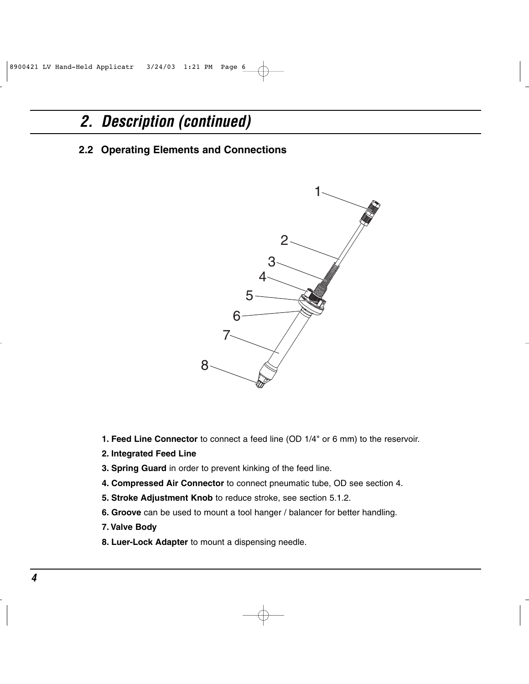### *2. Description (continued)*

**2.2 Operating Elements and Connections**



- **1. Feed Line Connector** to connect a feed line (OD 1/4" or 6 mm) to the reservoir.
- **2. Integrated Feed Line**
- **3. Spring Guard** in order to prevent kinking of the feed line.
- **4. Compressed Air Connector** to connect pneumatic tube, OD see section 4.
- **5. Stroke Adjustment Knob** to reduce stroke, see section 5.1.2.
- **6. Groove** can be used to mount a tool hanger / balancer for better handling.
- **7. Valve Body**
- **8. Luer-Lock Adapter** to mount a dispensing needle.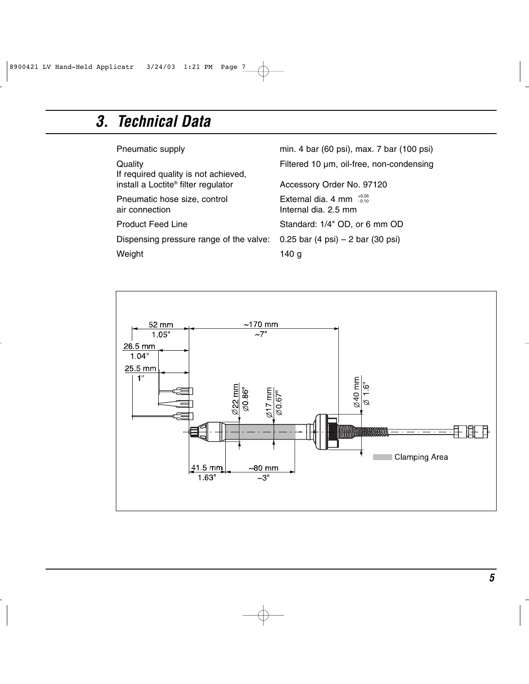### *3. Technical Data*

| Pneumatic supply                                | min. 4 bar (60 psi), max. 7 bar (100 psi)                     |
|-------------------------------------------------|---------------------------------------------------------------|
| Quality<br>If required quality is not achieved, | Filtered 10 µm, oil-free, non-condensing                      |
| install a Loctite® filter regulator             | Accessory Order No. 97120                                     |
| Pneumatic hose size, control<br>air connection  | External dia. 4 mm $^{+0.05}_{-0.10}$<br>Internal dia. 2.5 mm |
| <b>Product Feed Line</b>                        | Standard: 1/4" OD, or 6 mm OD                                 |
| Dispensing pressure range of the valve:         | 0.25 bar (4 psi) $-$ 2 bar (30 psi)                           |
| Weight                                          | 140 a                                                         |

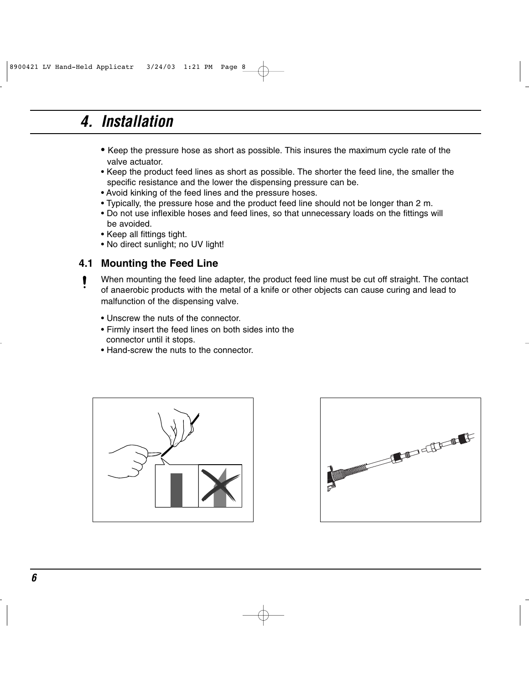### *4. Installation*

- Keep the pressure hose as short as possible. This insures the maximum cycle rate of the valve actuator.
- Keep the product feed lines as short as possible. The shorter the feed line, the smaller the specific resistance and the lower the dispensing pressure can be.
- Avoid kinking of the feed lines and the pressure hoses.
- Typically, the pressure hose and the product feed line should not be longer than 2 m.
- Do not use inflexible hoses and feed lines, so that unnecessary loads on the fittings will be avoided.
- Keep all fittings tight.
- No direct sunlight; no UV light!

#### **4.1 Mounting the Feed Line**

1

When mounting the feed line adapter, the product feed line must be cut off straight. The contact of anaerobic products with the metal of a knife or other objects can cause curing and lead to malfunction of the dispensing valve.

- Unscrew the nuts of the connector.
- Firmly insert the feed lines on both sides into the connector until it stops.
- Hand-screw the nuts to the connector.



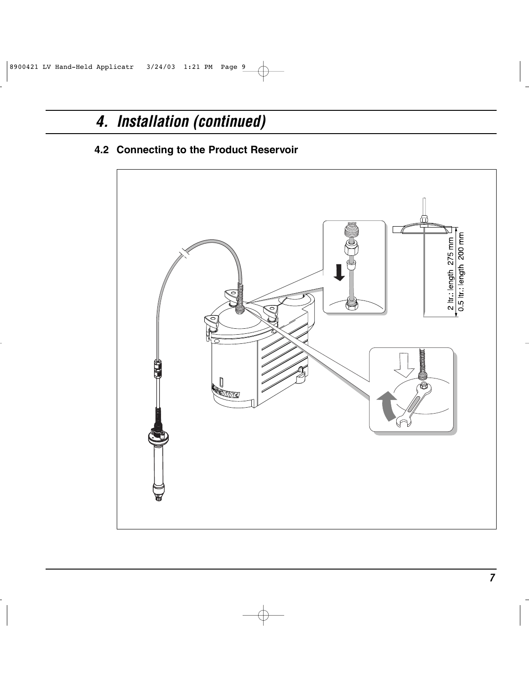### *4. Installation (continued)*

#### **4.2 Connecting to the Product Reservoir**

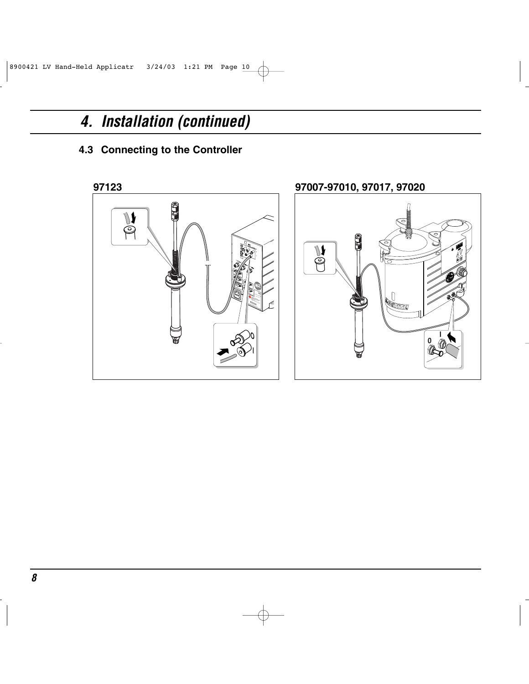### *4. Installation (continued)*

### **4.3 Connecting to the Controller**

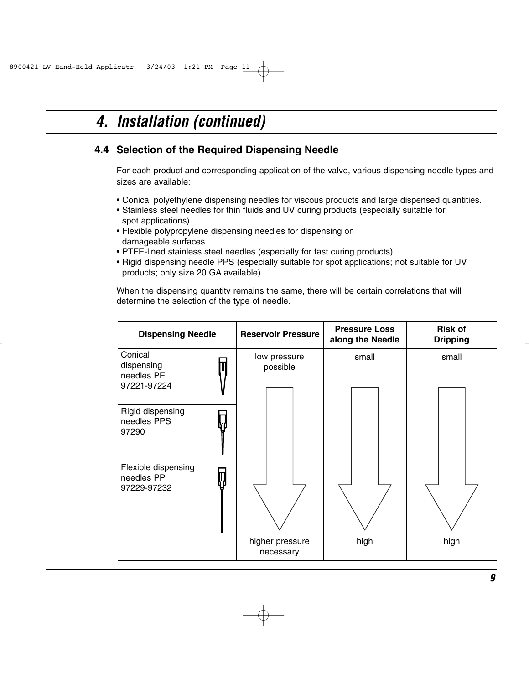### *4. Installation (continued)*

#### **4.4 Selection of the Required Dispensing Needle**

For each product and corresponding application of the valve, various dispensing needle types and sizes are available:

- Conical polyethylene dispensing needles for viscous products and large dispensed quantities.
- Stainless steel needles for thin fluids and UV curing products (especially suitable for spot applications).
- Flexible polypropylene dispensing needles for dispensing on damageable surfaces.
- PTFE-lined stainless steel needles (especially for fast curing products).
- Rigid dispensing needle PPS (especially suitable for spot applications; not suitable for UV products; only size 20 GA available).

When the dispensing quantity remains the same, there will be certain correlations that will determine the selection of the type of needle.

| <b>Dispensing Needle</b>                           | <b>Reservoir Pressure</b>    | <b>Pressure Loss</b><br>along the Needle | <b>Risk of</b><br><b>Dripping</b> |
|----------------------------------------------------|------------------------------|------------------------------------------|-----------------------------------|
| Conical<br>dispensing<br>needles PE<br>97221-97224 | low pressure<br>possible     | small                                    | small                             |
| Rigid dispensing<br>needles PPS<br>97290           |                              |                                          |                                   |
| Flexible dispensing<br>needles PP<br>97229-97232   |                              |                                          |                                   |
|                                                    | higher pressure<br>necessary | high                                     | high                              |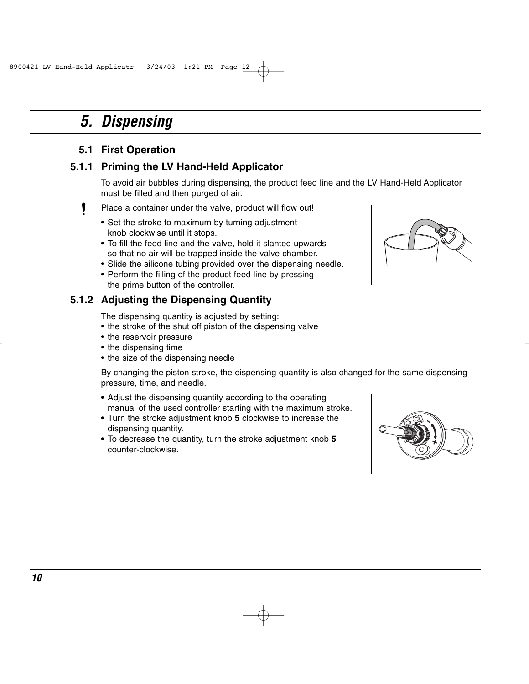### *5. Dispensing*

#### **5.1 First Operation**

#### **5.1.1 Priming the LV Hand-Held Applicator**

To avoid air bubbles during dispensing, the product feed line and the LV Hand-Held Applicator must be filled and then purged of air.

- Place a container under the valve, product will flow out! ı
	- Set the stroke to maximum by turning adjustment knob clockwise until it stops.
	- To fill the feed line and the valve, hold it slanted upwards so that no air will be trapped inside the valve chamber.
	- Slide the silicone tubing provided over the dispensing needle.
	- Perform the filling of the product feed line by pressing the prime button of the controller.

#### **5.1.2 Adjusting the Dispensing Quantity**

The dispensing quantity is adjusted by setting:

- the stroke of the shut off piston of the dispensing valve
- the reservoir pressure
- the dispensing time
- the size of the dispensing needle

By changing the piston stroke, the dispensing quantity is also changed for the same dispensing pressure, time, and needle.

- Adjust the dispensing quantity according to the operating manual of the used controller starting with the maximum stroke.
- Turn the stroke adjustment knob **5** clockwise to increase the dispensing quantity.
- To decrease the quantity, turn the stroke adjustment knob **5** counter-clockwise.



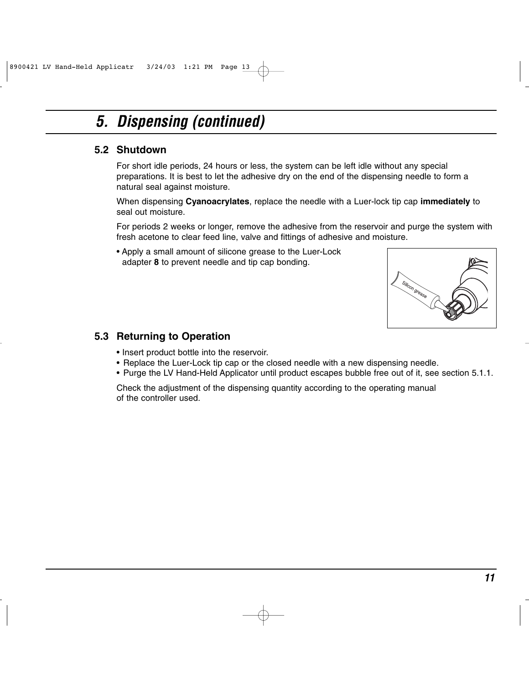### *5. Dispensing (continued)*

#### **5.2 Shutdown**

For short idle periods, 24 hours or less, the system can be left idle without any special preparations. It is best to let the adhesive dry on the end of the dispensing needle to form a natural seal against moisture.

When dispensing **Cyanoacrylates**, replace the needle with a Luer-lock tip cap **immediately** to seal out moisture.

For periods 2 weeks or longer, remove the adhesive from the reservoir and purge the system with fresh acetone to clear feed line, valve and fittings of adhesive and moisture.

• Apply a small amount of silicone grease to the Luer-Lock adapter **8** to prevent needle and tip cap bonding.



#### **5.3 Returning to Operation**

- Insert product bottle into the reservoir.
- Replace the Luer-Lock tip cap or the closed needle with a new dispensing needle.
- Purge the LV Hand-Held Applicator until product escapes bubble free out of it, see section 5.1.1.

Check the adjustment of the dispensing quantity according to the operating manual of the controller used.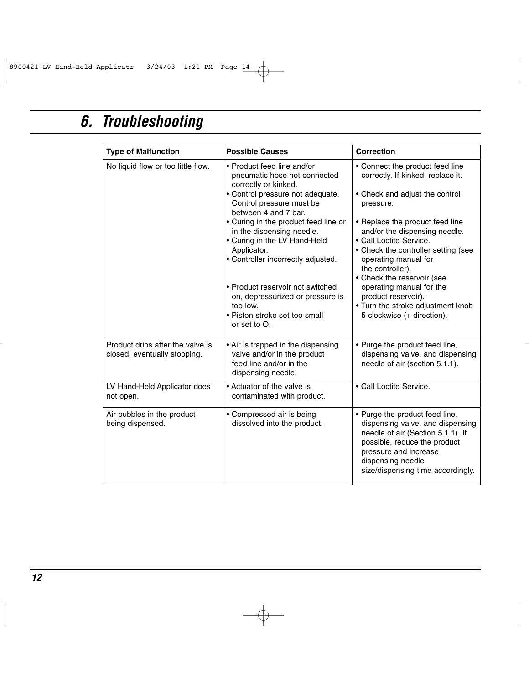### *6. Troubleshooting*

| <b>Type of Malfunction</b>                                       | <b>Possible Causes</b>                                                                                                               | <b>Correction</b>                                                                                                                                                                                                          |
|------------------------------------------------------------------|--------------------------------------------------------------------------------------------------------------------------------------|----------------------------------------------------------------------------------------------------------------------------------------------------------------------------------------------------------------------------|
| No liquid flow or too little flow.                               | • Product feed line and/or<br>pneumatic hose not connected<br>correctly or kinked.                                                   | • Connect the product feed line<br>correctly. If kinked, replace it.                                                                                                                                                       |
|                                                                  | • Control pressure not adequate.<br>Control pressure must be<br>between 4 and 7 bar.                                                 | • Check and adjust the control<br>pressure.                                                                                                                                                                                |
|                                                                  | • Curing in the product feed line or<br>in the dispensing needle.<br>• Curing in the LV Hand-Held                                    | • Replace the product feed line<br>and/or the dispensing needle.<br>• Call Loctite Service.                                                                                                                                |
|                                                                  | Applicator.<br>• Controller incorrectly adjusted.                                                                                    | • Check the controller setting (see<br>operating manual for<br>the controller).<br>• Check the reservoir (see                                                                                                              |
|                                                                  | • Product reservoir not switched<br>on, depressurized or pressure is<br>too low.<br>• Piston stroke set too small<br>or set to $O$ . | operating manual for the<br>product reservoir).<br>• Turn the stroke adjustment knob<br>5 clockwise (+ direction).                                                                                                         |
| Product drips after the valve is<br>closed, eventually stopping. | • Air is trapped in the dispensing<br>valve and/or in the product<br>feed line and/or in the<br>dispensing needle.                   | • Purge the product feed line,<br>dispensing valve, and dispensing<br>needle of air (section 5.1.1).                                                                                                                       |
| LV Hand-Held Applicator does<br>not open.                        | • Actuator of the valve is<br>contaminated with product.                                                                             | • Call Loctite Service.                                                                                                                                                                                                    |
| Air bubbles in the product<br>being dispensed.                   | • Compressed air is being<br>dissolved into the product.                                                                             | • Purge the product feed line,<br>dispensing valve, and dispensing<br>needle of air (Section 5.1.1). If<br>possible, reduce the product<br>pressure and increase<br>dispensing needle<br>size/dispensing time accordingly. |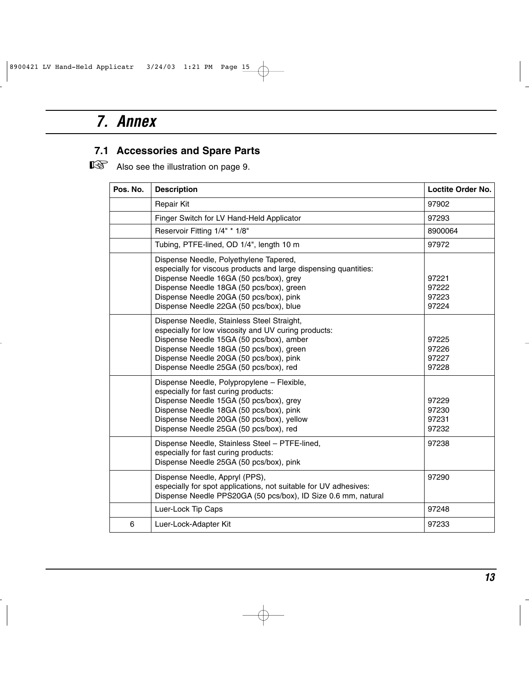### *7. Annex*

### **7.1 Accessories and Spare Parts**

■<a>Also see the illustration on page 9.

| Pos. No. | <b>Description</b>                                                                                                                                                                                                                                                                      | Loctite Order No.                |
|----------|-----------------------------------------------------------------------------------------------------------------------------------------------------------------------------------------------------------------------------------------------------------------------------------------|----------------------------------|
|          | <b>Repair Kit</b>                                                                                                                                                                                                                                                                       | 97902                            |
|          | Finger Switch for LV Hand-Held Applicator                                                                                                                                                                                                                                               | 97293                            |
|          | Reservoir Fitting 1/4" * 1/8"                                                                                                                                                                                                                                                           | 8900064                          |
|          | Tubing, PTFE-lined, OD 1/4", length 10 m                                                                                                                                                                                                                                                | 97972                            |
|          | Dispense Needle, Polyethylene Tapered,<br>especially for viscous products and large dispensing quantities:<br>Dispense Needle 16GA (50 pcs/box), grey<br>Dispense Needle 18GA (50 pcs/box), green<br>Dispense Needle 20GA (50 pcs/box), pink<br>Dispense Needle 22GA (50 pcs/box), blue | 97221<br>97222<br>97223<br>97224 |
|          | Dispense Needle, Stainless Steel Straight,<br>especially for low viscosity and UV curing products:<br>Dispense Needle 15GA (50 pcs/box), amber<br>Dispense Needle 18GA (50 pcs/box), green<br>Dispense Needle 20GA (50 pcs/box), pink<br>Dispense Needle 25GA (50 pcs/box), red         | 97225<br>97226<br>97227<br>97228 |
|          | Dispense Needle, Polypropylene - Flexible,<br>especially for fast curing products:<br>Dispense Needle 15GA (50 pcs/box), grey<br>Dispense Needle 18GA (50 pcs/box), pink<br>Dispense Needle 20GA (50 pcs/box), yellow<br>Dispense Needle 25GA (50 pcs/box), red                         | 97229<br>97230<br>97231<br>97232 |
|          | Dispense Needle, Stainless Steel - PTFE-lined,<br>especially for fast curing products:<br>Dispense Needle 25GA (50 pcs/box), pink                                                                                                                                                       | 97238                            |
|          | Dispense Needle, Appryl (PPS),<br>especially for spot applications, not suitable for UV adhesives:<br>Dispense Needle PPS20GA (50 pcs/box), ID Size 0.6 mm, natural                                                                                                                     | 97290                            |
|          | Luer-Lock Tip Caps                                                                                                                                                                                                                                                                      | 97248                            |
| 6        | Luer-Lock-Adapter Kit                                                                                                                                                                                                                                                                   | 97233                            |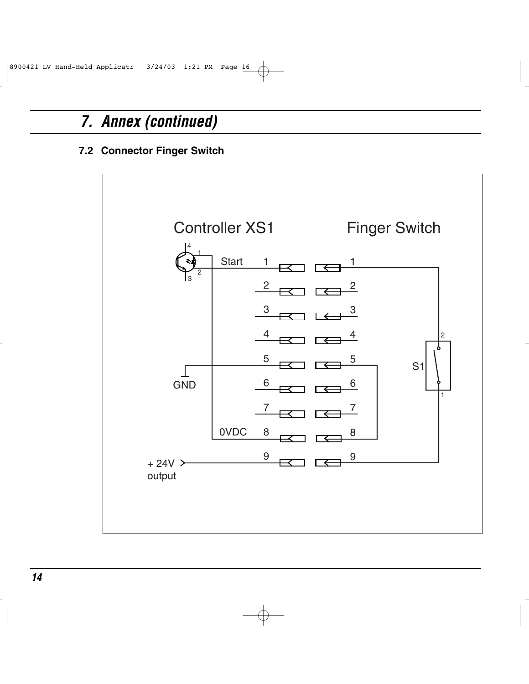### *7. Annex (continued)*

#### **7.2 Connector Finger Switch**

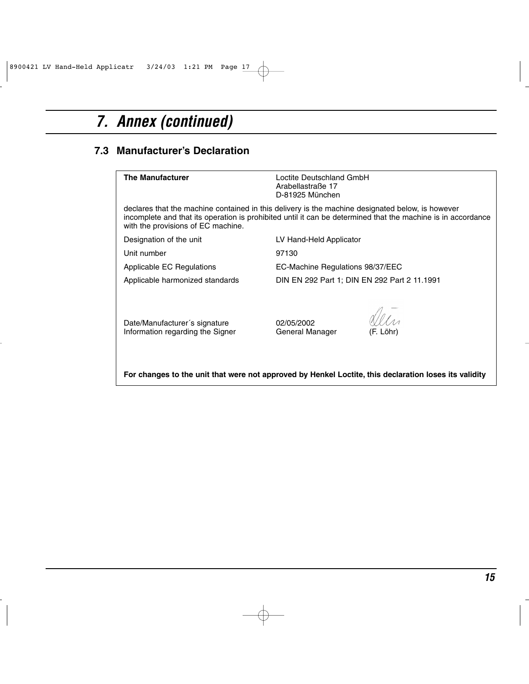## *7. Annex (continued)*

#### **7.3 Manufacturer's Declaration**

| <b>The Manufacturer</b>                                                                                                                                                                                                                                | Loctite Deutschland GmbH<br>Arabellastraße 17<br>D-81925 München |           |  |
|--------------------------------------------------------------------------------------------------------------------------------------------------------------------------------------------------------------------------------------------------------|------------------------------------------------------------------|-----------|--|
| declares that the machine contained in this delivery is the machine designated below, is however<br>incomplete and that its operation is prohibited until it can be determined that the machine is in accordance<br>with the provisions of EC machine. |                                                                  |           |  |
| Designation of the unit                                                                                                                                                                                                                                | LV Hand-Held Applicator                                          |           |  |
| Unit number                                                                                                                                                                                                                                            | 97130                                                            |           |  |
| Applicable EC Regulations                                                                                                                                                                                                                              | EC-Machine Regulations 98/37/EEC                                 |           |  |
| Applicable harmonized standards                                                                                                                                                                                                                        | DIN EN 292 Part 1; DIN EN 292 Part 2 11.1991                     |           |  |
| Date/Manufacturer's signature<br>Information regarding the Signer                                                                                                                                                                                      | 02/05/2002<br>General Manager                                    | (F. Löhr) |  |
| For changes to the unit that were not approved by Henkel Loctite, this declaration loses its validity                                                                                                                                                  |                                                                  |           |  |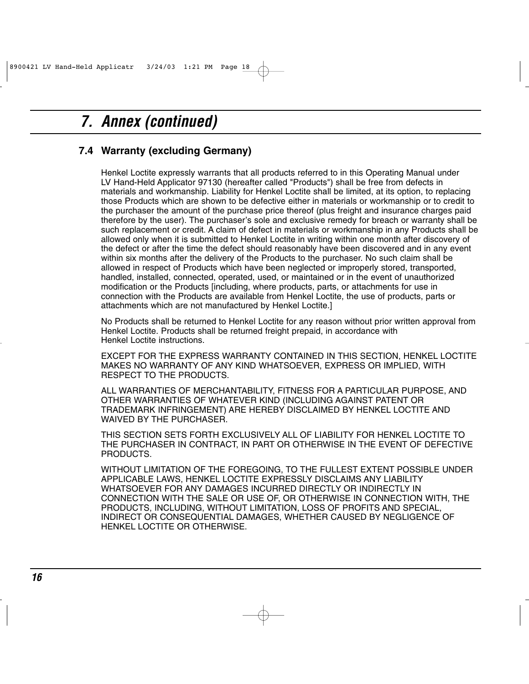### *7. Annex (continued)*

#### **7.4 Warranty (excluding Germany)**

Henkel Loctite expressly warrants that all products referred to in this Operating Manual under LV Hand-Held Applicator 97130 (hereafter called "Products") shall be free from defects in materials and workmanship. Liability for Henkel Loctite shall be limited, at its option, to replacing those Products which are shown to be defective either in materials or workmanship or to credit to the purchaser the amount of the purchase price thereof (plus freight and insurance charges paid therefore by the user). The purchaser's sole and exclusive remedy for breach or warranty shall be such replacement or credit. A claim of defect in materials or workmanship in any Products shall be allowed only when it is submitted to Henkel Loctite in writing within one month after discovery of the defect or after the time the defect should reasonably have been discovered and in any event within six months after the delivery of the Products to the purchaser. No such claim shall be allowed in respect of Products which have been neglected or improperly stored, transported, handled, installed, connected, operated, used, or maintained or in the event of unauthorized modification or the Products [including, where products, parts, or attachments for use in connection with the Products are available from Henkel Loctite, the use of products, parts or attachments which are not manufactured by Henkel Loctite.]

No Products shall be returned to Henkel Loctite for any reason without prior written approval from Henkel Loctite. Products shall be returned freight prepaid, in accordance with Henkel Loctite instructions.

EXCEPT FOR THE EXPRESS WARRANTY CONTAINED IN THIS SECTION, HENKEL LOCTITE MAKES NO WARRANTY OF ANY KIND WHATSOEVER, EXPRESS OR IMPLIED, WITH RESPECT TO THE PRODUCTS.

ALL WARRANTIES OF MERCHANTABILITY, FITNESS FOR A PARTICULAR PURPOSE, AND OTHER WARRANTIES OF WHATEVER KIND (INCLUDING AGAINST PATENT OR TRADEMARK INFRINGEMENT) ARE HEREBY DISCLAIMED BY HENKEL LOCTITE AND WAIVED BY THE PURCHASER.

THIS SECTION SETS FORTH EXCLUSIVELY ALL OF LIABILITY FOR HENKEL LOCTITE TO THE PURCHASER IN CONTRACT, IN PART OR OTHERWISE IN THE EVENT OF DEFECTIVE PRODUCTS.

WITHOUT LIMITATION OF THE FOREGOING, TO THE FULLEST EXTENT POSSIBLE UNDER APPLICABLE LAWS, HENKEL LOCTITE EXPRESSLY DISCLAIMS ANY LIABILITY WHATSOEVER FOR ANY DAMAGES INCURRED DIRECTLY OR INDIRECTLY IN CONNECTION WITH THE SALE OR USE OF, OR OTHERWISE IN CONNECTION WITH, THE PRODUCTS, INCLUDING, WITHOUT LIMITATION, LOSS OF PROFITS AND SPECIAL, INDIRECT OR CONSEQUENTIAL DAMAGES, WHETHER CAUSED BY NEGLIGENCE OF HENKEL LOCTITE OR OTHERWISE.